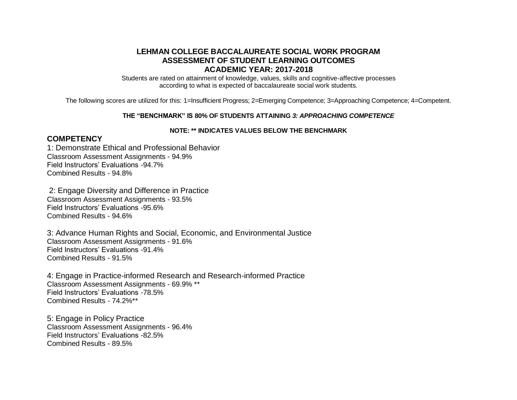## **LEHMAN COLLEGE BACCALAUREATE SOCIAL WORK PROGRAM ASSESSMENT OF STUDENT LEARNING OUTCOMES ACADEMIC YEAR: 2017-2018**

Students are rated on attainment of knowledge, values, skills and cognitive-affective processes according to what is expected of baccalaureate social work students.

The following scores are utilized for this: 1=Insufficient Progress; 2=Emerging Competence; 3=Approaching Competence; 4=Competent.

## **THE "BENCHMARK" IS 80% OF STUDENTS ATTAINING** *3: APPROACHING COMPETENCE*

## **NOTE: \*\* INDICATES VALUES BELOW THE BENCHMARK**

## **COMPETENCY**

1: Demonstrate Ethical and Professional Behavior Classroom Assessment Assignments - 94.9% Field Instructors' Evaluations -94.7% Combined Results - 94.8%

2: Engage Diversity and Difference in Practice Classroom Assessment Assignments - 93.5% Field Instructors' Evaluations -95.6% Combined Results - 94.6%

3: Advance Human Rights and Social, Economic, and Environmental Justice Classroom Assessment Assignments - 91.6% Field Instructors' Evaluations -91.4% Combined Results - 91.5%

4: Engage in Practice-informed Research and Research-informed Practice Classroom Assessment Assignments - 69.9% \*\* Field Instructors' Evaluations -78.5% Combined Results - 74.2%\*\*

5: Engage in Policy Practice Classroom Assessment Assignments - 96.4% Field Instructors' Evaluations -82.5% Combined Results - 89.5%